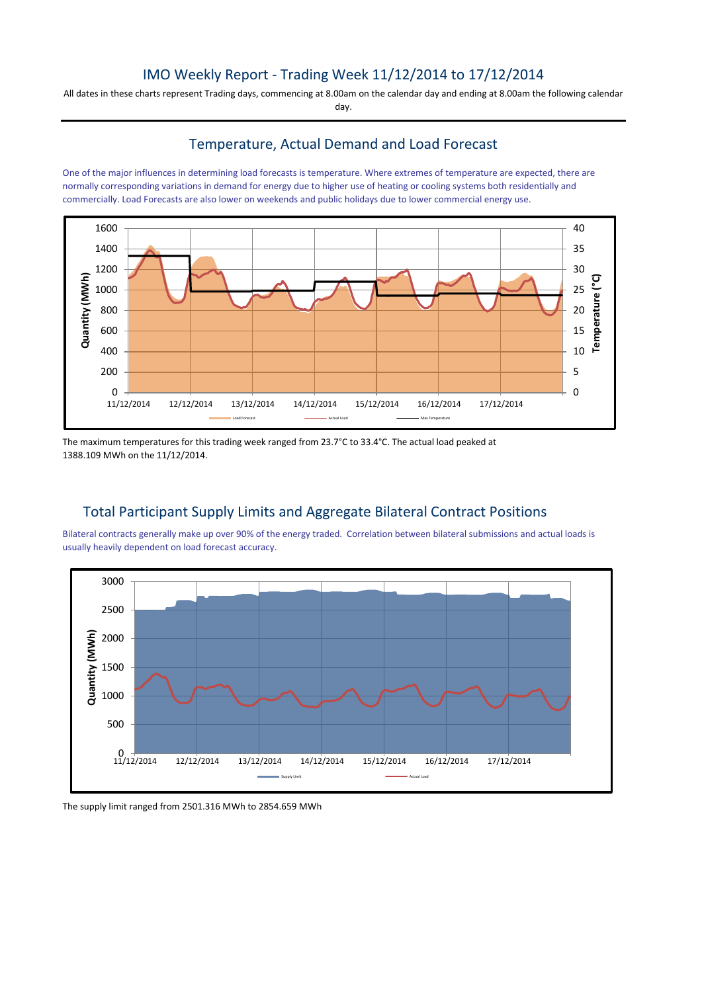# IMO Weekly Report - Trading Week 11/12/2014 to 17/12/2014

All dates in these charts represent Trading days, commencing at 8.00am on the calendar day and ending at 8.00am the following calendar day.

### Temperature, Actual Demand and Load Forecast

One of the major influences in determining load forecasts is temperature. Where extremes of temperature are expected, there are normally corresponding variations in demand for energy due to higher use of heating or cooling systems both residentially and commercially. Load Forecasts are also lower on weekends and public holidays due to lower commercial energy use.



The maximum temperatures for this trading week ranged from 23.7°C to 33.4°C. The actual load peaked at 1388.109 MWh on the 11/12/2014.

# Total Participant Supply Limits and Aggregate Bilateral Contract Positions

Bilateral contracts generally make up over 90% of the energy traded. Correlation between bilateral submissions and actual loads is usually heavily dependent on load forecast accuracy.



The supply limit ranged from 2501.316 MWh to 2854.659 MWh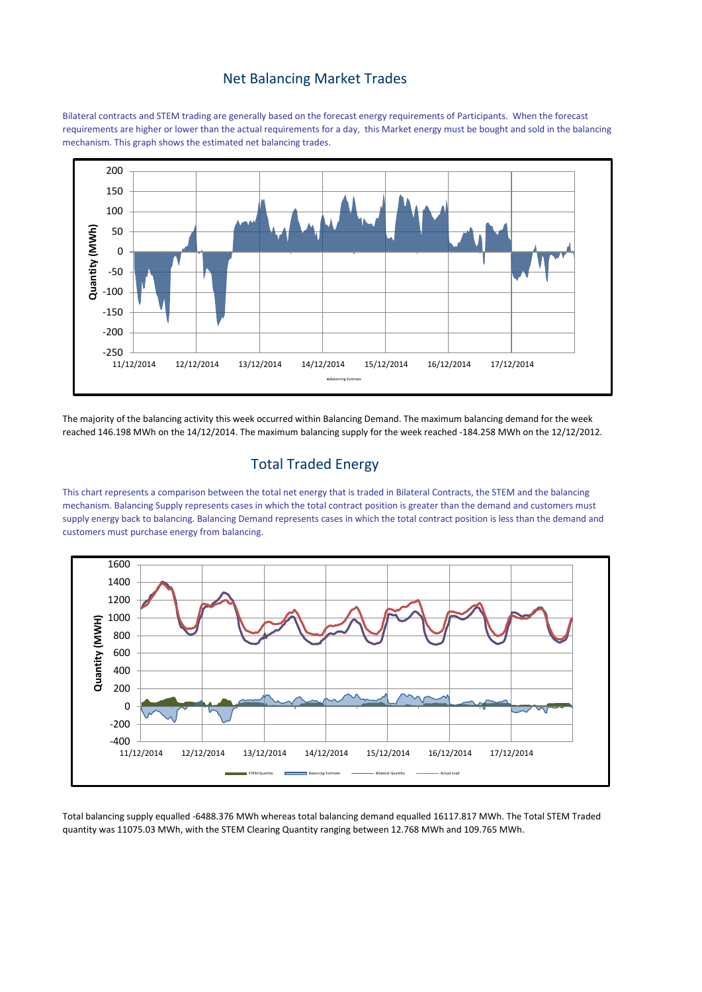#### Net Balancing Market Trades

Bilateral contracts and STEM trading are generally based on the forecast energy requirements of Participants. When the forecast requirements are higher or lower than the actual requirements for a day, this Market energy must be bought and sold in the balancing mechanism. This graph shows the estimated net balancing trades.



The majority of the balancing activity this week occurred within Balancing Demand. The maximum balancing demand for the week reached 146.198 MWh on the 14/12/2014. The maximum balancing supply for the week reached -184.258 MWh on the 12/12/2012.

## Total Traded Energy

This chart represents a comparison between the total net energy that is traded in Bilateral Contracts, the STEM and the balancing mechanism. Balancing Supply represents cases in which the total contract position is greater than the demand and customers must supply energy back to balancing. Balancing Demand represents cases in which the total contract position is less than the demand and customers must purchase energy from balancing.



Total balancing supply equalled -6488.376 MWh whereas total balancing demand equalled 16117.817 MWh. The Total STEM Traded quantity was 11075.03 MWh, with the STEM Clearing Quantity ranging between 12.768 MWh and 109.765 MWh.